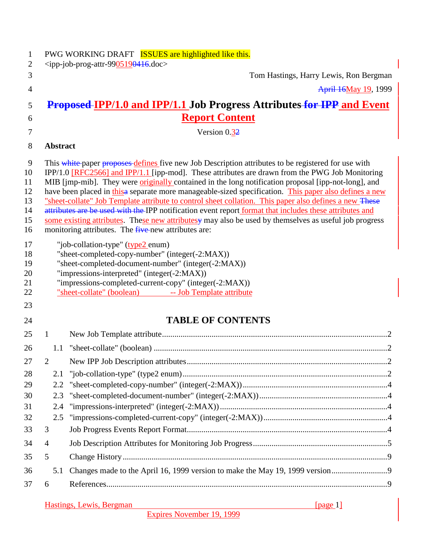| 1<br>2                                                                                |                 | PWG WORKING DRAFT <b>ISSUES</b> are highlighted like this.<br>$\langle$ ipp-job-prog-attr-9905190416.doc>                                                                                                                                                                                                                                                                                                                                                                                                                                                                                                                                                                                                                                                                                                                                                                                                                                                                                                                                                                                                                          |  |
|---------------------------------------------------------------------------------------|-----------------|------------------------------------------------------------------------------------------------------------------------------------------------------------------------------------------------------------------------------------------------------------------------------------------------------------------------------------------------------------------------------------------------------------------------------------------------------------------------------------------------------------------------------------------------------------------------------------------------------------------------------------------------------------------------------------------------------------------------------------------------------------------------------------------------------------------------------------------------------------------------------------------------------------------------------------------------------------------------------------------------------------------------------------------------------------------------------------------------------------------------------------|--|
| 3                                                                                     |                 | Tom Hastings, Harry Lewis, Ron Bergman                                                                                                                                                                                                                                                                                                                                                                                                                                                                                                                                                                                                                                                                                                                                                                                                                                                                                                                                                                                                                                                                                             |  |
| $\overline{4}$                                                                        |                 | April 16May 19, 1999                                                                                                                                                                                                                                                                                                                                                                                                                                                                                                                                                                                                                                                                                                                                                                                                                                                                                                                                                                                                                                                                                                               |  |
| 5                                                                                     |                 | <b>Proposed-IPP/1.0 and IPP/1.1 Job Progress Attributes for IPP and Event</b>                                                                                                                                                                                                                                                                                                                                                                                                                                                                                                                                                                                                                                                                                                                                                                                                                                                                                                                                                                                                                                                      |  |
| 6                                                                                     |                 | <b>Report Content</b>                                                                                                                                                                                                                                                                                                                                                                                                                                                                                                                                                                                                                                                                                                                                                                                                                                                                                                                                                                                                                                                                                                              |  |
| 7                                                                                     |                 | Version 0.32                                                                                                                                                                                                                                                                                                                                                                                                                                                                                                                                                                                                                                                                                                                                                                                                                                                                                                                                                                                                                                                                                                                       |  |
| 8                                                                                     | <b>Abstract</b> |                                                                                                                                                                                                                                                                                                                                                                                                                                                                                                                                                                                                                                                                                                                                                                                                                                                                                                                                                                                                                                                                                                                                    |  |
| 9<br>10<br>11<br>12<br>13<br>14<br>15<br>16<br>17<br>18<br>19<br>20<br>21<br>22<br>23 |                 | This white paper proposes defines five new Job Description attributes to be registered for use with<br>IPP/1.0 [RFC2566] and IPP/1.1 [ipp-mod]. These attributes are drawn from the PWG Job Monitoring<br>MIB [jmp-mib]. They were <i>originally</i> contained in the long notification proposal [ipp-not-long], and<br>have been placed in this a separate more manageable-sized specification. This paper also defines a new<br>"sheet-collate" Job Template attribute to control sheet collation. This paper also defines a new These<br>attributes are be used with the IPP notification event report format that includes these attributes and<br>some existing attributes. These new attributesy may also be used by themselves as useful job progress<br>monitoring attributes. The five-new attributes are:<br>"job-collation-type" (type2 enum)<br>"sheet-completed-copy-number" (integer(-2:MAX))<br>"sheet-completed-document-number" (integer(-2:MAX))<br>"impressions-interpreted" (integer(-2:MAX))<br>"impressions-completed-current-copy" (integer(-2:MAX))<br>"sheet-collate" (boolean) -- Job Template attribute |  |
| 24                                                                                    |                 | <b>TABLE OF CONTENTS</b>                                                                                                                                                                                                                                                                                                                                                                                                                                                                                                                                                                                                                                                                                                                                                                                                                                                                                                                                                                                                                                                                                                           |  |
| 25                                                                                    | 1               |                                                                                                                                                                                                                                                                                                                                                                                                                                                                                                                                                                                                                                                                                                                                                                                                                                                                                                                                                                                                                                                                                                                                    |  |
| 26                                                                                    |                 |                                                                                                                                                                                                                                                                                                                                                                                                                                                                                                                                                                                                                                                                                                                                                                                                                                                                                                                                                                                                                                                                                                                                    |  |
| 27                                                                                    | $\overline{2}$  |                                                                                                                                                                                                                                                                                                                                                                                                                                                                                                                                                                                                                                                                                                                                                                                                                                                                                                                                                                                                                                                                                                                                    |  |
| 28                                                                                    | 2.1             |                                                                                                                                                                                                                                                                                                                                                                                                                                                                                                                                                                                                                                                                                                                                                                                                                                                                                                                                                                                                                                                                                                                                    |  |
| 29                                                                                    | 2.2             |                                                                                                                                                                                                                                                                                                                                                                                                                                                                                                                                                                                                                                                                                                                                                                                                                                                                                                                                                                                                                                                                                                                                    |  |
| 30                                                                                    | 2.3             |                                                                                                                                                                                                                                                                                                                                                                                                                                                                                                                                                                                                                                                                                                                                                                                                                                                                                                                                                                                                                                                                                                                                    |  |
| 31                                                                                    | 2.4             |                                                                                                                                                                                                                                                                                                                                                                                                                                                                                                                                                                                                                                                                                                                                                                                                                                                                                                                                                                                                                                                                                                                                    |  |
| 32                                                                                    |                 |                                                                                                                                                                                                                                                                                                                                                                                                                                                                                                                                                                                                                                                                                                                                                                                                                                                                                                                                                                                                                                                                                                                                    |  |
| 33                                                                                    | 3               |                                                                                                                                                                                                                                                                                                                                                                                                                                                                                                                                                                                                                                                                                                                                                                                                                                                                                                                                                                                                                                                                                                                                    |  |
| 34                                                                                    | $\overline{4}$  |                                                                                                                                                                                                                                                                                                                                                                                                                                                                                                                                                                                                                                                                                                                                                                                                                                                                                                                                                                                                                                                                                                                                    |  |
| 35                                                                                    | 5               |                                                                                                                                                                                                                                                                                                                                                                                                                                                                                                                                                                                                                                                                                                                                                                                                                                                                                                                                                                                                                                                                                                                                    |  |
| 36                                                                                    | 5.1             | Changes made to the April 16, 1999 version to make the May 19, 1999 version                                                                                                                                                                                                                                                                                                                                                                                                                                                                                                                                                                                                                                                                                                                                                                                                                                                                                                                                                                                                                                                        |  |
| 37                                                                                    | 6               |                                                                                                                                                                                                                                                                                                                                                                                                                                                                                                                                                                                                                                                                                                                                                                                                                                                                                                                                                                                                                                                                                                                                    |  |
|                                                                                       |                 | Hastings, Lewis, Bergman<br>[nage 1]<br><u> 1989 - Johann Stoff, amerikansk politiker (d. 1989)</u>                                                                                                                                                                                                                                                                                                                                                                                                                                                                                                                                                                                                                                                                                                                                                                                                                                                                                                                                                                                                                                |  |

Expires November 19, 1999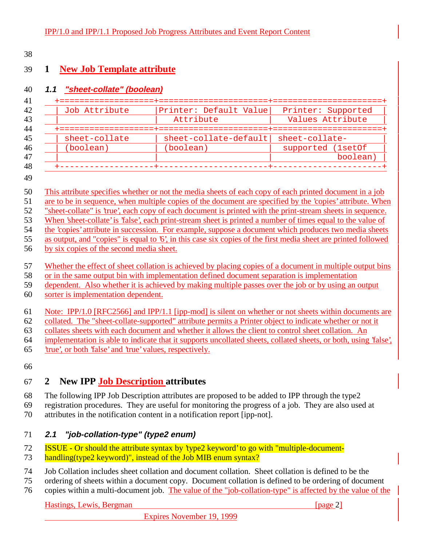## **1 New Job Template attribute**

### **1.1 "sheet-collate" (boolean)**

| Job Attribute | Printer: Default Value | Printer: Supported |
|---------------|------------------------|--------------------|
|               | Attribute              | Values Attribute   |
|               |                        |                    |
| sheet-collate | sheet-collate-default  | sheet-collate-     |
| (boolean)     | (boolean)              | supported (1setOf  |
|               |                        | boolean)           |
|               |                        |                    |

#### 

- are to be in sequence, when multiple copies of the document are specified by the 'copies' attribute. When
- "sheet-collate" is 'true', each copy of each document is printed with the print-stream sheets in sequence.
- When 'sheet-collate' is 'false', each print-stream sheet is printed a number of times equal to the value of
- the 'copies' attribute in succession. For example, suppose a document which produces two media sheets
- as output, and "copies" is equal to '6', in this case six copies of the first media sheet are printed followed
- by six copies of the second media sheet.
- Whether the effect of sheet collation is achieved by placing copies of a document in multiple output bins
- or in the same output bin with implementation defined document separation is implementation
- dependent. Also whether it is achieved by making multiple passes over the job or by using an output
- sorter is implementation dependent.
- Note: IPP/1.0 [RFC2566] and IPP/1.1 [ipp-mod] is silent on whether or not sheets within documents are

collated. The "sheet-collate-supported" attribute permits a Printer object to indicate whether or not it

collates sheets with each document and whether it allows the client to control sheet collation. An

- implementation is able to indicate that it supports uncollated sheets, collated sheets, or both, using 'false',
- 'true', or both 'false' and 'true' values, respectively.
- 

# **2 New IPP Job Description attributes**

- The following IPP Job Description attributes are proposed to be added to IPP through the type2
- registration procedures. They are useful for monitoring the progress of a job. They are also used at
- attributes in the notification content in a notification report [ipp-not].

# **2.1 "job-collation-type" (type2 enum)**

ISSUE - Or should the attribute syntax by 'type2 keyword' to go with "multiple-document-

- 73 handling(type2 keyword)", instead of the Job MIB enum syntax?
- Job Collation includes sheet collation and document collation. Sheet collation is defined to be the
- ordering of sheets within a document copy. Document collation is defined to be ordering of document
- copies within a multi-document job. The value of the "job-collation-type" is affected by the value of the

## Hastings, Lewis, Bergman [page 2]

This attribute specifies whether or not the media sheets of each copy of each printed document in a job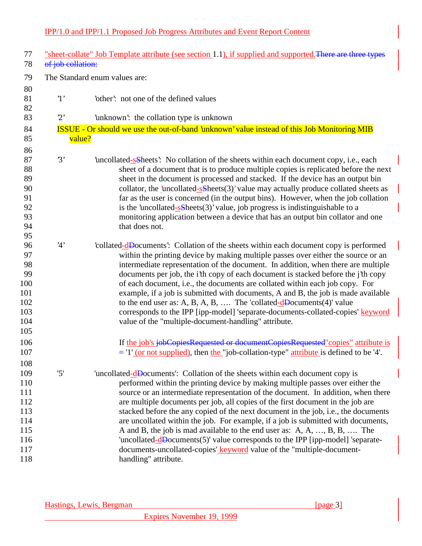| 77<br>78                                             | of job collation: | "sheet-collate" Job Template attribute (see section 1.1), if supplied and supported. There are three types                                                                                                                                                                                                                                                                                                                                                                                                                                                                                                                                                                       |
|------------------------------------------------------|-------------------|----------------------------------------------------------------------------------------------------------------------------------------------------------------------------------------------------------------------------------------------------------------------------------------------------------------------------------------------------------------------------------------------------------------------------------------------------------------------------------------------------------------------------------------------------------------------------------------------------------------------------------------------------------------------------------|
| 79                                                   |                   | The Standard enum values are:                                                                                                                                                                                                                                                                                                                                                                                                                                                                                                                                                                                                                                                    |
| 80<br>81<br>82                                       | $\cdot_1$         | 'other': not one of the defined values                                                                                                                                                                                                                                                                                                                                                                                                                                                                                                                                                                                                                                           |
| 83                                                   | 2                 | 'unknown': the collation type is unknown                                                                                                                                                                                                                                                                                                                                                                                                                                                                                                                                                                                                                                         |
| 84                                                   |                   | ISSUE - Or should we use the out-of-band 'unknown' value instead of this Job Monitoring MIB                                                                                                                                                                                                                                                                                                                                                                                                                                                                                                                                                                                      |
| 85                                                   | value?            |                                                                                                                                                                                                                                                                                                                                                                                                                                                                                                                                                                                                                                                                                  |
| 86                                                   |                   |                                                                                                                                                                                                                                                                                                                                                                                                                                                                                                                                                                                                                                                                                  |
| 87<br>88<br>89<br>90                                 | 3'                | uncollated-selects. No collation of the sheets within each document copy, i.e., each<br>sheet of a document that is to produce multiple copies is replicated before the next<br>sheet in the document is processed and stacked. If the device has an output bin<br>collator, the 'uncollated- $s\$ Sheets $(3)$ ' value may actually produce collated sheets as                                                                                                                                                                                                                                                                                                                  |
| 91<br>92                                             |                   | far as the user is concerned (in the output bins). However, when the job collation                                                                                                                                                                                                                                                                                                                                                                                                                                                                                                                                                                                               |
| 93                                                   |                   | is the 'uncollated- $s$ -Sheets(3)' value, job progress is indistinguishable to a<br>monitoring application between a device that has an output bin collator and one                                                                                                                                                                                                                                                                                                                                                                                                                                                                                                             |
| 94                                                   |                   | that does not.                                                                                                                                                                                                                                                                                                                                                                                                                                                                                                                                                                                                                                                                   |
| 95                                                   |                   |                                                                                                                                                                                                                                                                                                                                                                                                                                                                                                                                                                                                                                                                                  |
| 96<br>97<br>98<br>99<br>100<br>101<br>102            | 4'                | collated-dDocuments: Collation of the sheets within each document copy is performed<br>within the printing device by making multiple passes over either the source or an<br>intermediate representation of the document. In addition, when there are multiple<br>documents per job, the i'th copy of each document is stacked before the j'th copy<br>of each document, i.e., the documents are collated within each job copy. For<br>example, if a job is submitted with documents, A and B, the job is made available<br>to the end user as: A, B, A, B,  The 'collated- $\frac{d}{d}$ Documents(4)' value                                                                     |
| 103<br>104<br>105                                    |                   | corresponds to the IPP [ipp-model] 'separate-documents-collated-copies' keyword<br>value of the "multiple-document-handling" attribute.                                                                                                                                                                                                                                                                                                                                                                                                                                                                                                                                          |
| 106<br>107<br>108                                    |                   | If the job's jobCopiesRequested or documentCopiesRequested" copies" attribute is<br>$=$ $\frac{1}{\cot \theta}$ (or not supplied), then the "job-collation-type" attribute is defined to be '4'.                                                                                                                                                                                                                                                                                                                                                                                                                                                                                 |
| 109<br>110<br>111<br>112<br>113<br>114<br>115<br>116 | '5'               | 'uncollated-dDocuments': Collation of the sheets within each document copy is<br>performed within the printing device by making multiple passes over either the<br>source or an intermediate representation of the document. In addition, when there<br>are multiple documents per job, all copies of the first document in the job are<br>stacked before the any copied of the next document in the job, i.e., the documents<br>are uncollated within the job. For example, if a job is submitted with documents,<br>A and B, the job is mad available to the end user as: A, A, , B, B,  The<br>'uncollated-dDocuments(5)' value corresponds to the IPP [ipp-model] 'separate- |
| 117<br>118                                           |                   | documents-uncollated-copies' keyword value of the "multiple-document-<br>handling" attribute.                                                                                                                                                                                                                                                                                                                                                                                                                                                                                                                                                                                    |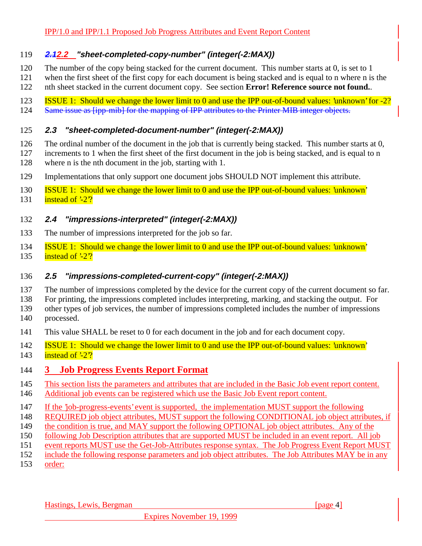### **2.12.2 "sheet-completed-copy-number" (integer(-2:MAX))**

- The number of the copy being stacked for the current document. This number starts at 0, is set to 1
- when the first sheet of the first copy for each document is being stacked and is equal to n where n is the
- nth sheet stacked in the current document copy. See section **Error! Reference source not found.**.
- ISSUE 1: Should we change the lower limit to 0 and use the IPP out-of-bound values: 'unknown' for -2? 124 Same issue as [ipp-mib] for the mapping of IPP attributes to the Printer MIB integer objects.

### **2.3 "sheet-completed-document-number" (integer(-2:MAX))**

- The ordinal number of the document in the job that is currently being stacked. This number starts at 0,
- increments to 1 when the first sheet of the first document in the job is being stacked, and is equal to n
- where n is the nth document in the job, starting with 1.
- Implementations that only support one document jobs SHOULD NOT implement this attribute.
- ISSUE 1: Should we change the lower limit to 0 and use the IPP out-of-bound values: 'unknown'
- 131 instead of  $\frac{2}{?}$

## **2.4 "impressions-interpreted" (integer(-2:MAX))**

- The number of impressions interpreted for the job so far.
- ISSUE 1: Should we change the lower limit to 0 and use the IPP out-of-bound values: 'unknown'
- 135 instead of  $2^2$ ?

## **2.5 "impressions-completed-current-copy" (integer(-2:MAX))**

- The number of impressions completed by the device for the current copy of the current document so far.
- For printing, the impressions completed includes interpreting, marking, and stacking the output. For

other types of job services, the number of impressions completed includes the number of impressions

- processed.
- This value SHALL be reset to 0 for each document in the job and for each document copy.
- ISSUE 1: Should we change the lower limit to 0 and use the IPP out-of-bound values: 'unknown'
- 143 instead of  $2\frac{?}{?}$

# **3 Job Progress Events Report Format**

- This section lists the parameters and attributes that are included in the Basic Job event report content.
- Additional job events can be registered which use the Basic Job Event report content.
- If the 'job-progress-events' event is supported, the implementation MUST support the following
- REQUIRED job object attributes, MUST support the following CONDITIONAL job object attributes, if
- 149 the condition is true, and MAY support the following OPTIONAL job object attributes. Any of the
- 150 following Job Description attributes that are supported MUST be included in an event report. All job
- event reports MUST use the Get-Job-Attributes response syntax. The Job Progress Event Report MUST
- include the following response parameters and job object attributes. The Job Attributes MAY be in any
- order:

Hastings, Lewis, Bergman **and Community** and Community and Community and Community and Community and Community and Community and Community and Community and Community and Community and Community and Community and Community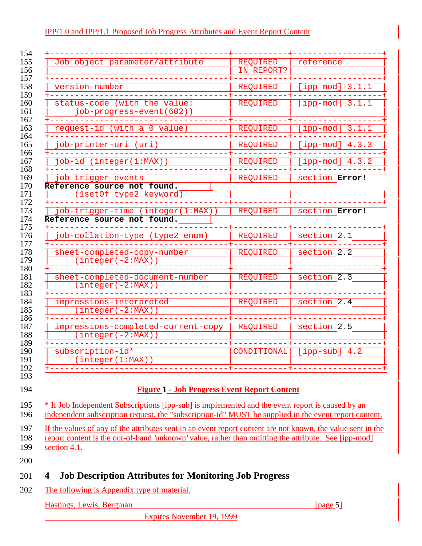|                                                       | <b>REQUIRED</b><br>IN REPORT? | reference                        |
|-------------------------------------------------------|-------------------------------|----------------------------------|
|                                                       |                               |                                  |
| version-number                                        | REQUIRED                      | [ipp-mod] $3.1.1$                |
| status-code (with the value:                          | <b>REQUIRED</b>               | $[ipp-mod]$ 3.1.1                |
| job-progress-event(602))                              |                               |                                  |
| request-id (with a 0 value)                           | <b>REQUIRED</b>               | [ipp-mod] $3.1.1$                |
| job-printer-uri (uri)                                 | REQUIRED                      | [ipp $\overline{-mod}$ ] $4.3.3$ |
| job-id (integer(1:MAX))                               | <b>REQUIRED</b>               | [ipp-mod] $4.3.2$                |
| job-trigger-events                                    | REQUIRED                      | section Error!                   |
| Reference source not found.<br>(1setOf type2 keyword) |                               |                                  |
| job-trigger-time (integer(1:MAX))                     | <b>REQUIRED</b>               | section Error!                   |
| Reference source not found.                           |                               |                                  |
| job-collation-type (type2 enum)                       | REQUIRED                      | section 2.1                      |
| sheet-completed-copy-number                           | REQUIRED                      | section 2.2                      |
| $(integer(-2:MAX))$                                   |                               |                                  |
|                                                       | <b>REQUIRED</b>               | section 2.3                      |
| sheet-completed-document-number                       |                               |                                  |
| $(integer(-2:MAX))$                                   |                               |                                  |
| impressions-interpreted                               | REQUIRED                      | section $2.4$                    |
| $(integer(-2:MAX))$                                   |                               |                                  |
| impressions-completed-current-copy                    | REQUIRED                      | section 2.5                      |
| $(integer(-2:MAX))$                                   |                               |                                  |
| subscription-id*<br>(integer(1:MAX))                  | CONDITIONAL                   | $[ipp-sub]$ 4.2                  |

195 \* If Job Independent Subscriptions [ipp-sub] is implemented and the event report is caused by an

- independent subscription request, the "subscription-id" MUST be supplied in the event report content.
- If the values of any of the attributes sent in an event report content are not known, the value sent in the
- report content is the out-of-band 'unknown' value, rather than omitting the attribute. See [ipp-mod] 199 <u>section 4.1.</u>
- 

# **4 Job Description Attributes for Monitoring Job Progress**

202 The following is Appendix type of material.

Hastings, Lewis, Bergman [page 5]

Expires November 19, 1999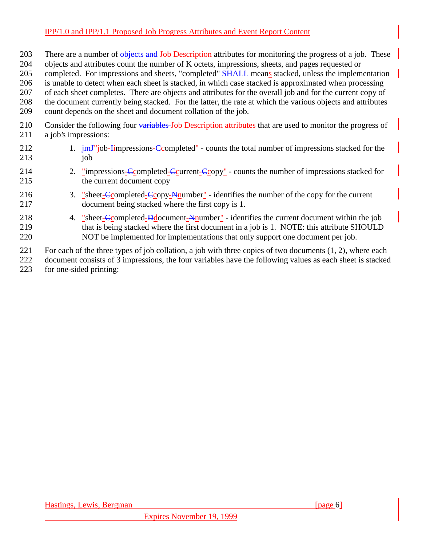- 203 There are a number of objects and Job Description attributes for monitoring the progress of a job. These
- 204 objects and attributes count the number of K octets, impressions, sheets, and pages requested or
- 205 completed. For impressions and sheets, "completed" SHALL means stacked, unless the implementation
- 206 is unable to detect when each sheet is stacked, in which case stacked is approximated when processing
- 207 of each sheet completes. There are objects and attributes for the overall job and for the current copy of
- 208 the document currently being stacked. For the latter, the rate at which the various objects and attributes
- 209 count depends on the sheet and document collation of the job.
- 210 Consider the following four variables Job Description attributes that are used to monitor the progress of 211 a job's impressions:
- 212 1.  $\frac{1}{2}$  1.  $\frac{1}{2}$  immust impressions-Completed" counts the total number of impressions stacked for the  $213$  iob
- 214 2. "impressions-Completed-Ccurrent-Ccopy" counts the number of impressions stacked for 215 the current document copy
- 216 3. "sheet-Completed-Copy-Nnumber" identifies the number of the copy for the current 217 document being stacked where the first copy is 1.
- 218 4. "sheet-Completed-Ddocument-Nnumber" identifies the current document within the job 219 that is being stacked where the first document in a job is 1. NOTE: this attribute SHOULD 220 NOT be implemented for implementations that only support one document per job.

221 For each of the three types of job collation, a job with three copies of two documents (1, 2), where each 222 document consists of 3 impressions, the four variables have the following values as each sheet is stacked 223 for one-sided printing:

Hastings, Lewis, Bergman [page 6] [page 6]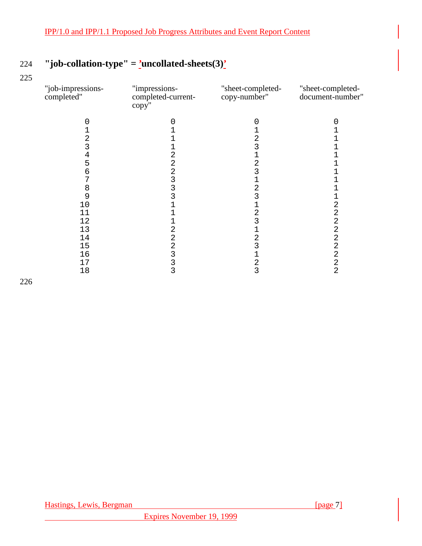# 224 **"job-collation-type" = 'uncollated-sheets(3)'**

225

| "job-impressions-<br>completed" | "impressions-<br>completed-current-<br>copy" | "sheet-completed-<br>copy-number" | "sheet-completed-<br>document-number" |
|---------------------------------|----------------------------------------------|-----------------------------------|---------------------------------------|
|                                 | 0                                            |                                   |                                       |
|                                 |                                              |                                   |                                       |
| 2                               |                                              | 2                                 |                                       |
| 3                               |                                              | 3                                 |                                       |
| 4                               | 2                                            |                                   |                                       |
| 5                               | 2                                            | $\overline{a}$                    |                                       |
| 6                               | 2                                            | 3                                 |                                       |
| 7                               | 3                                            | $\mathbf 1$                       |                                       |
| 8                               | 3                                            | 2                                 |                                       |
| 9                               | 3                                            | 3                                 |                                       |
| 10                              |                                              |                                   | 2                                     |
| 11                              |                                              | $\overline{c}$                    | $\overline{c}$                        |
| 12                              |                                              | 3                                 | $\overline{a}$                        |
| 13                              | 2                                            | 1                                 | 2                                     |
| 14                              | 2                                            | 2                                 | 2                                     |
| 15                              | 2                                            | 3                                 | $\overline{a}$                        |
| 16                              | 3                                            | 1                                 | $\overline{a}$                        |
| 17                              | 3                                            | $\overline{c}$                    | $\overline{\mathbf{c}}$               |
| 18                              | 3                                            | $\overline{3}$                    | $\overline{a}$                        |
|                                 |                                              |                                   |                                       |

226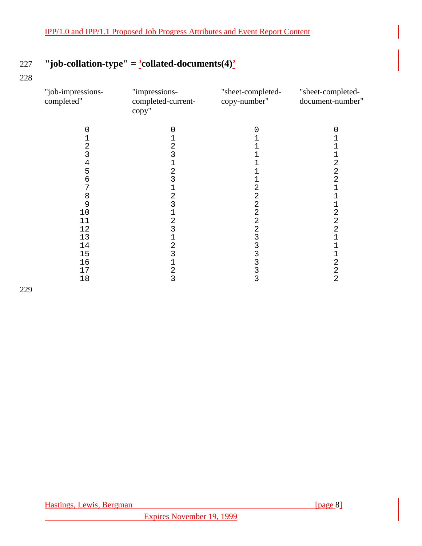# 227 **"job-collation-type" = 'collated-documents(4)'**

228

| "job-impressions-<br>completed" | "impressions-<br>completed-current-<br>copy" | "sheet-completed-<br>copy-number" | "sheet-completed-<br>document-number" |
|---------------------------------|----------------------------------------------|-----------------------------------|---------------------------------------|
|                                 |                                              |                                   |                                       |
|                                 |                                              |                                   |                                       |
|                                 |                                              |                                   |                                       |
|                                 |                                              |                                   |                                       |
| 4                               |                                              |                                   | 2                                     |
| 5                               | 2                                            |                                   | 2                                     |
| 6                               | 3                                            |                                   | $\overline{a}$                        |
|                                 |                                              |                                   |                                       |
| 8                               | $\overline{c}$                               |                                   |                                       |
| 9                               | 3                                            | 2                                 |                                       |
| 10                              |                                              |                                   | 2                                     |
| 11                              | 2                                            |                                   | 2                                     |
| 12                              |                                              |                                   | 2                                     |
| 13                              |                                              |                                   |                                       |
| 14                              | 2                                            |                                   |                                       |
| 15                              | 3                                            |                                   |                                       |
| 16                              |                                              |                                   | 2                                     |
| 17                              | 2                                            |                                   | 2                                     |
| 18                              | 3                                            | 3                                 | 2                                     |

229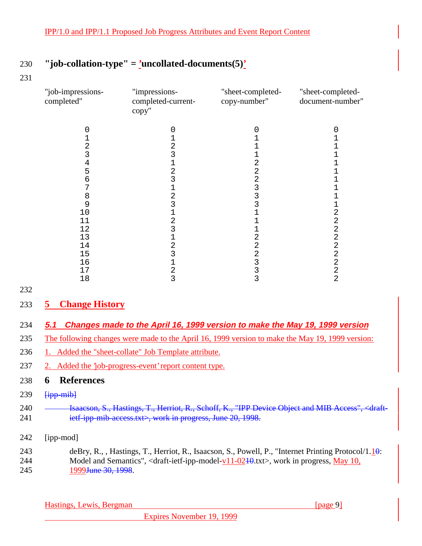## 230 **"job-collation-type" = 'uncollated-documents(5)'**

231

| "job-impressions-<br>completed" | "impressions-<br>completed-current-<br>copy" | "sheet-completed-<br>copy-number" | "sheet-completed-<br>document-number" |
|---------------------------------|----------------------------------------------|-----------------------------------|---------------------------------------|
|                                 |                                              |                                   |                                       |
|                                 |                                              |                                   |                                       |
|                                 | 2                                            |                                   |                                       |
|                                 | 3                                            |                                   |                                       |
| 4                               |                                              |                                   |                                       |
| 5                               | 2                                            |                                   |                                       |
|                                 |                                              |                                   |                                       |
|                                 |                                              |                                   |                                       |
| 8                               | 2                                            |                                   |                                       |
| 9                               | 3                                            |                                   |                                       |
| 10                              |                                              |                                   | 2                                     |
| 11                              | 2                                            |                                   | 2                                     |
| 12                              | 3                                            |                                   | 2                                     |
| 13                              |                                              |                                   | 2                                     |
| 14                              | 2                                            |                                   | 2                                     |
| 15                              |                                              |                                   | 2                                     |
| 16                              |                                              |                                   | $\overline{2}$                        |
| 17                              | 2                                            |                                   | 2                                     |
| 18                              | 3                                            | 3                                 | 2                                     |

232

## 233 **5 Change History**

## 234 **5.1 Changes made to the April 16, 1999 version to make the May 19, 1999 version**

- 235 The following changes were made to the April 16, 1999 version to make the May 19, 1999 version:
- 236 1. Added the "sheet-collate" Job Template attribute.
- 237 2. Added the 'job-progress-event' report content type.

## 238 **6 References**

- $239$   $\frac{1}{1}$   $\frac{1}{1}$   $\frac{1}{1}$
- 240 **Isaacson, S., Hastings, T., Herriot, R., Schoff, K., "IPP Device Object and MIB Access", <draft-**241 ietf-ipp-mib-access.txt>, work in progress, June 20, 1998.
- 242 [ipp-mod]

243 deBry, R., , Hastings, T., Herriot, R., Isaacson, S., Powell, P., "Internet Printing Protocol/1.10: 244 Model and Semantics", <draft-ietf-ipp-model-v11-02<del>10</del>,txt>, work in progress, May 10, 245 1999 <del>June 30, 1998</del>.

Hastings, Lewis, Bergman [page 9]